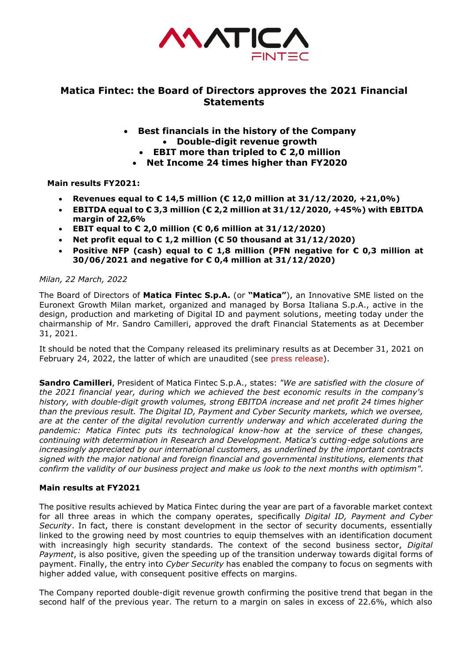

# **Matica Fintec: the Board of Directors approves the 2021 Financial Statements**

- **Best financials in the history of the Company** • **Double-digit revenue growth**
	- **EBIT more than tripled to € 2,0 million**
	- **Net Income 24 times higher than FY2020**

## **Main results FY2021:**

- **Revenues equal to € 14,5 million (€ 12,0 million at 31/12/2020, +21,0%)**
- **EBITDA equal to € 3,3 million (€ 2,2 million at 31/12/2020, +45%) with EBITDA margin of 22,6%**
- **EBIT equal to € 2,0 million (€ 0,6 million at 31/12/2020)**
- **Net profit equal to € 1,2 million (€ 50 thousand at 31/12/2020)**
- **Positive NFP (cash) equal to € 1,8 million (PFN negative for € 0,3 million at 30/06/2021 and negative for € 0,4 million at 31/12/2020)**

### *Milan, 22 March, 2022*

The Board of Directors of **Matica Fintec S.p.A.** (or **"Matica"**), an Innovative SME listed on the Euronext Growth Milan market, organized and managed by Borsa Italiana S.p.A., active in the design, production and marketing of Digital ID and payment solutions, meeting today under the chairmanship of Mr. Sandro Camilleri, approved the draft Financial Statements as at December 31, 2021.

It should be noted that the Company released its preliminary results as at December 31, 2021 on February 24, 2022, the latter of which are unaudited (see press release).

**Sandro Camilleri**, President of Matica Fintec S.p.A., states: *"We are satisfied with the closure of the 2021 financial year, during which we achieved the best economic results in the company's history, with double-digit growth volumes, strong EBITDA increase and net profit 24 times higher than the previous result. The Digital ID, Payment and Cyber Security markets, which we oversee, are at the center of the digital revolution currently underway and which accelerated during the pandemic: Matica Fintec puts its technological know-how at the service of these changes, continuing with determination in Research and Development. Matica's cutting-edge solutions are increasingly appreciated by our international customers, as underlined by the important contracts signed with the major national and foreign financial and governmental institutions, elements that confirm the validity of our business project and make us look to the next months with optimism".*

### **Main results at FY2021**

The positive results achieved by Matica Fintec during the year are part of a favorable market context for all three areas in which the company operates, specifically *Digital ID, Payment and Cyber Security*. In fact, there is constant development in the sector of security documents, essentially linked to the growing need by most countries to equip themselves with an identification document with increasingly high security standards. The context of the second business sector, *Digital Payment*, is also positive, given the speeding up of the transition underway towards digital forms of payment. Finally, the entry into *Cyber Security* has enabled the company to focus on segments with higher added value, with consequent positive effects on margins.

The Company reported double-digit revenue growth confirming the positive trend that began in the second half of the previous year. The return to a margin on sales in excess of 22.6%, which also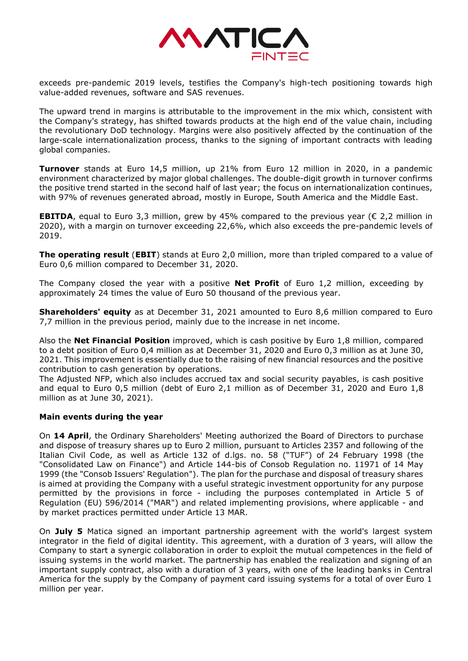

exceeds pre-pandemic 2019 levels, testifies the Company's high-tech positioning towards high value-added revenues, software and SAS revenues.

The upward trend in margins is attributable to the improvement in the mix which, consistent with the Company's strategy, has shifted towards products at the high end of the value chain, including the revolutionary DoD technology. Margins were also positively affected by the continuation of the large-scale internationalization process, thanks to the signing of important contracts with leading global companies.

**Turnover** stands at Euro 14,5 million, up 21% from Euro 12 million in 2020, in a pandemic environment characterized by major global challenges. The double-digit growth in turnover confirms the positive trend started in the second half of last year; the focus on internationalization continues, with 97% of revenues generated abroad, mostly in Europe, South America and the Middle East.

**EBITDA**, equal to Euro 3,3 million, grew by 45% compared to the previous year ( $\epsilon$  2,2 million in 2020), with a margin on turnover exceeding 22,6%, which also exceeds the pre-pandemic levels of 2019.

**The operating result** (**EBIT**) stands at Euro 2,0 million, more than tripled compared to a value of Euro 0,6 million compared to December 31, 2020.

The Company closed the year with a positive **Net Profit** of Euro 1,2 million, exceeding by approximately 24 times the value of Euro 50 thousand of the previous year.

**Shareholders' equity** as at December 31, 2021 amounted to Euro 8,6 million compared to Euro 7,7 million in the previous period, mainly due to the increase in net income.

Also the **Net Financial Position** improved, which is cash positive by Euro 1,8 million, compared to a debt position of Euro 0,4 million as at December 31, 2020 and Euro 0,3 million as at June 30, 2021. This improvement is essentially due to the raising of new financial resources and the positive contribution to cash generation by operations.

The Adjusted NFP, which also includes accrued tax and social security payables, is cash positive and equal to Euro 0,5 million (debt of Euro 2,1 million as of December 31, 2020 and Euro 1,8 million as at June 30, 2021).

### **Main events during the year**

On **14 April**, the Ordinary Shareholders' Meeting authorized the Board of Directors to purchase and dispose of treasury shares up to Euro 2 million, pursuant to Articles 2357 and following of the Italian Civil Code, as well as Article 132 of d.lgs. no. 58 ("TUF") of 24 February 1998 (the "Consolidated Law on Finance") and Article 144-bis of Consob Regulation no. 11971 of 14 May 1999 (the "Consob Issuers' Regulation"). The plan for the purchase and disposal of treasury shares is aimed at providing the Company with a useful strategic investment opportunity for any purpose permitted by the provisions in force - including the purposes contemplated in Article 5 of Regulation (EU) 596/2014 ("MAR") and related implementing provisions, where applicable - and by market practices permitted under Article 13 MAR.

On **July 5** Matica signed an important partnership agreement with the world's largest system integrator in the field of digital identity. This agreement, with a duration of 3 years, will allow the Company to start a synergic collaboration in order to exploit the mutual competences in the field of issuing systems in the world market. The partnership has enabled the realization and signing of an important supply contract, also with a duration of 3 years, with one of the leading banks in Central America for the supply by the Company of payment card issuing systems for a total of over Euro 1 million per year.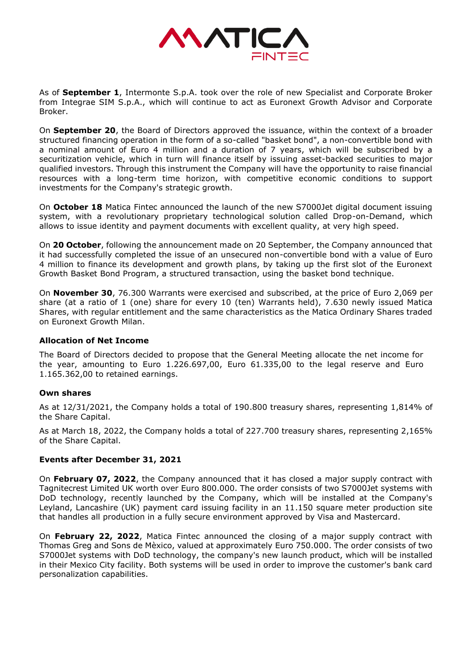

As of **September 1**, Intermonte S.p.A. took over the role of new Specialist and Corporate Broker from Integrae SIM S.p.A., which will continue to act as Euronext Growth Advisor and Corporate Broker.

On **September 20**, the Board of Directors approved the issuance, within the context of a broader structured financing operation in the form of a so-called "basket bond", a non-convertible bond with a nominal amount of Euro 4 million and a duration of 7 years, which will be subscribed by a securitization vehicle, which in turn will finance itself by issuing asset-backed securities to major qualified investors. Through this instrument the Company will have the opportunity to raise financial resources with a long-term time horizon, with competitive economic conditions to support investments for the Company's strategic growth.

On **October 18** Matica Fintec announced the launch of the new S7000Jet digital document issuing system, with a revolutionary proprietary technological solution called Drop-on-Demand, which allows to issue identity and payment documents with excellent quality, at very high speed.

On **20 October**, following the announcement made on 20 September, the Company announced that it had successfully completed the issue of an unsecured non-convertible bond with a value of Euro 4 million to finance its development and growth plans, by taking up the first slot of the Euronext Growth Basket Bond Program, a structured transaction, using the basket bond technique.

On **November 30**, 76.300 Warrants were exercised and subscribed, at the price of Euro 2,069 per share (at a ratio of 1 (one) share for every 10 (ten) Warrants held), 7.630 newly issued Matica Shares, with regular entitlement and the same characteristics as the Matica Ordinary Shares traded on Euronext Growth Milan.

### **Allocation of Net Income**

The Board of Directors decided to propose that the General Meeting allocate the net income for the year, amounting to Euro 1.226.697,00, Euro 61.335,00 to the legal reserve and Euro 1.165.362,00 to retained earnings.

### **Own shares**

As at 12/31/2021, the Company holds a total of 190.800 treasury shares, representing 1,814% of the Share Capital.

As at March 18, 2022, the Company holds a total of 227.700 treasury shares, representing 2,165% of the Share Capital.

## **Events after December 31, 2021**

On **February 07, 2022**, the Company announced that it has closed a major supply contract with Tagnitecrest Limited UK worth over Euro 800.000. The order consists of two S7000Jet systems with DoD technology, recently launched by the Company, which will be installed at the Company's Leyland, Lancashire (UK) payment card issuing facility in an 11.150 square meter production site that handles all production in a fully secure environment approved by Visa and Mastercard.

On **February 22, 2022**, Matica Fintec announced the closing of a major supply contract with Thomas Greg and Sons de Mèxico, valued at approximately Euro 750.000. The order consists of two S7000Jet systems with DoD technology, the company's new launch product, which will be installed in their Mexico City facility. Both systems will be used in order to improve the customer's bank card personalization capabilities.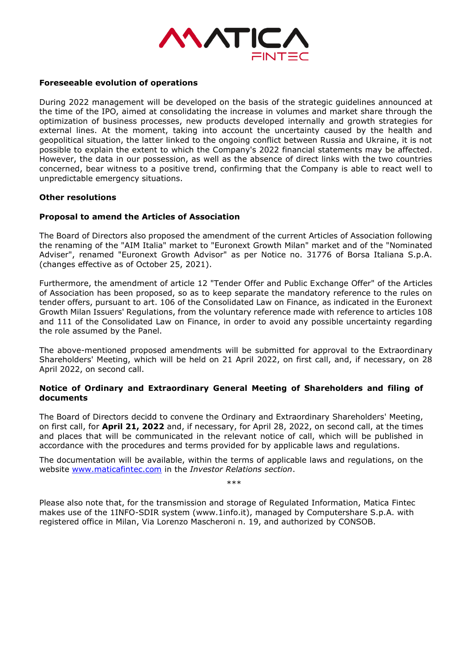

#### **Foreseeable evolution of operations**

During 2022 management will be developed on the basis of the strategic guidelines announced at the time of the IPO, aimed at consolidating the increase in volumes and market share through the optimization of business processes, new products developed internally and growth strategies for external lines. At the moment, taking into account the uncertainty caused by the health and geopolitical situation, the latter linked to the ongoing conflict between Russia and Ukraine, it is not possible to explain the extent to which the Company's 2022 financial statements may be affected. However, the data in our possession, as well as the absence of direct links with the two countries concerned, bear witness to a positive trend, confirming that the Company is able to react well to unpredictable emergency situations.

#### **Other resolutions**

#### **Proposal to amend the Articles of Association**

The Board of Directors also proposed the amendment of the current Articles of Association following the renaming of the "AIM Italia" market to "Euronext Growth Milan" market and of the "Nominated Adviser", renamed "Euronext Growth Advisor" as per Notice no. 31776 of Borsa Italiana S.p.A. (changes effective as of October 25, 2021).

Furthermore, the amendment of article 12 "Tender Offer and Public Exchange Offer" of the Articles of Association has been proposed, so as to keep separate the mandatory reference to the rules on tender offers, pursuant to art. 106 of the Consolidated Law on Finance, as indicated in the Euronext Growth Milan Issuers' Regulations, from the voluntary reference made with reference to articles 108 and 111 of the Consolidated Law on Finance, in order to avoid any possible uncertainty regarding the role assumed by the Panel.

The above-mentioned proposed amendments will be submitted for approval to the Extraordinary Shareholders' Meeting, which will be held on 21 April 2022, on first call, and, if necessary, on 28 April 2022, on second call.

### **Notice of Ordinary and Extraordinary General Meeting of Shareholders and filing of documents**

The Board of Directors decidd to convene the Ordinary and Extraordinary Shareholders' Meeting, on first call, for **April 21, 2022** and, if necessary, for April 28, 2022, on second call, at the times and places that will be communicated in the relevant notice of call, which will be published in accordance with the procedures and terms provided for by applicable laws and regulations.

The documentation will be available, within the terms of applicable laws and regulations, on the website [www.maticafintec.com](http://www.maticafintec.com/) in the *Investor Relations section*.

\*\*\*

Please also note that, for the transmission and storage of Regulated Information, Matica Fintec makes use of the 1INFO-SDIR system (www.1info.it), managed by Computershare S.p.A. with registered office in Milan, Via Lorenzo Mascheroni n. 19, and authorized by CONSOB.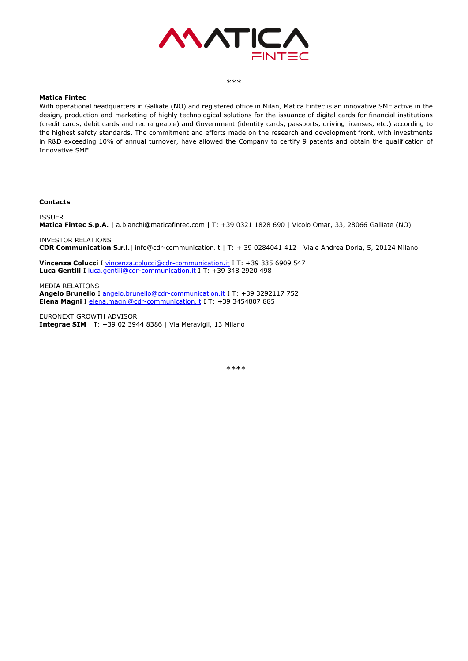

#### \*\*\*

#### **Matica Fintec**

With operational headquarters in Galliate (NO) and registered office in Milan, Matica Fintec is an innovative SME active in the design, production and marketing of highly technological solutions for the issuance of digital cards for financial institutions (credit cards, debit cards and rechargeable) and Government (identity cards, passports, driving licenses, etc.) according to the highest safety standards. The commitment and efforts made on the research and development front, with investments in R&D exceeding 10% of annual turnover, have allowed the Company to certify 9 patents and obtain the qualification of Innovative SME.

#### **Contacts**

ISSUER

**Matica Fintec S.p.A.** | a.bianchi@maticafintec.com | T: +39 0321 1828 690 | Vicolo Omar, 33, 28066 Galliate (NO)

INVESTOR RELATIONS **CDR Communication S.r.l.**| info@cdr-communication.it | T: + 39 0284041 412 | Viale Andrea Doria, 5, 20124 Milano

**Vincenza Colucci** I [vincenza.colucci@cdr-communication.it](mailto:vincenza.colucci@cdr-communication.it) I T: +39 335 6909 547 Luca Gentili I [luca.gentili@cdr-communication.it](mailto:luca.gentili@cdr-communication.it) I T: +39 348 2920 498

MEDIA RELATIONS **Angelo Brunello** I [angelo.brunello@cdr-communication.it](mailto:angelo.brunello@cdr-communication.it) I T: +39 3292117 752 **Elena Magni** I [elena.magni@cdr-communication.it](mailto:elena.magni@cdr-communication.it) I T: +39 3454807 885

EURONEXT GROWTH ADVISOR **Integrae SIM** | T: +39 02 3944 8386 | Via Meravigli, 13 Milano

\*\*\*\*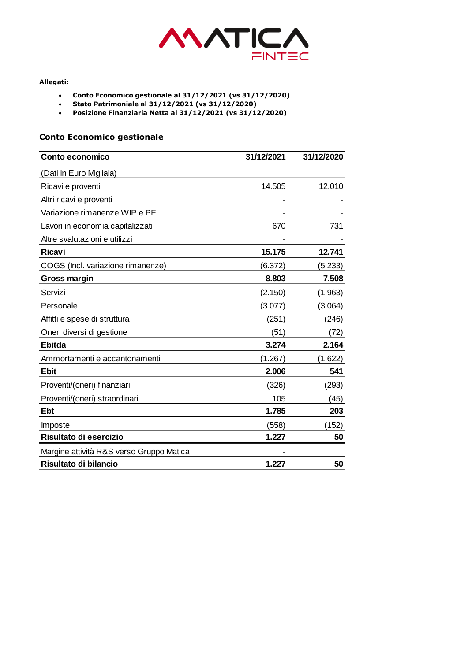

#### **Allegati:**

- **Conto Economico gestionale al 31/12/2021 (vs 31/12/2020)**
- **Stato Patrimoniale al 31/12/2021 (vs 31/12/2020)**
- **Posizione Finanziaria Netta al 31/12/2021 (vs 31/12/2020)**

## **Conto Economico gestionale**

| Conto economico                          | 31/12/2021 | 31/12/2020 |
|------------------------------------------|------------|------------|
| (Dati in Euro Migliaia)                  |            |            |
| Ricavi e proventi                        | 14.505     | 12.010     |
| Altri ricavi e proventi                  |            |            |
| Variazione rimanenze WIP e PF            |            |            |
| Lavori in economia capitalizzati         | 670        | 731        |
| Altre svalutazioni e utilizzi            |            |            |
| <b>Ricavi</b>                            | 15.175     | 12.741     |
| COGS (Incl. variazione rimanenze)        | (6.372)    | (5.233)    |
| Gross margin                             | 8.803      | 7.508      |
| Servizi                                  | (2.150)    | (1.963)    |
| Personale                                | (3.077)    | (3.064)    |
| Affitti e spese di struttura             | (251)      | (246)      |
| Oneri diversi di gestione                | (51)       | (72)       |
| <b>Ebitda</b>                            | 3.274      | 2.164      |
| Ammortamenti e accantonamenti            | (1.267)    | (1.622)    |
| <b>Ebit</b>                              | 2.006      | 541        |
| Proventi/(oneri) finanziari              | (326)      | (293)      |
| Proventi/(oneri) straordinari            | 105        | (45)       |
| <b>Ebt</b>                               | 1.785      | 203        |
| Imposte                                  | (558)      | (152)      |
| Risultato di esercizio                   | 1.227      | 50         |
| Margine attività R&S verso Gruppo Matica |            |            |
| Risultato di bilancio                    | 1.227      | 50         |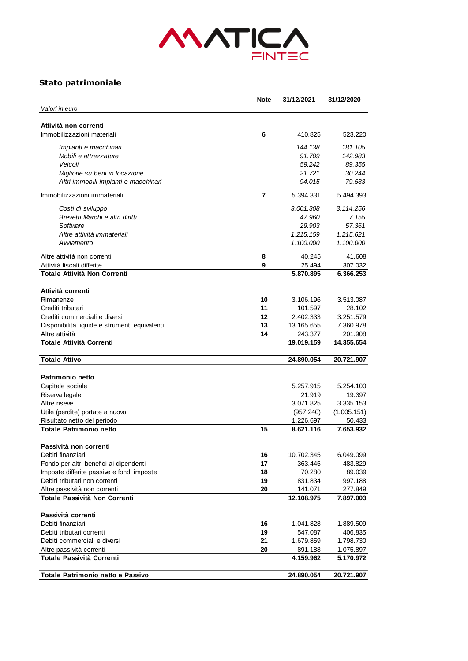

## **Stato patrimoniale**

|                                               | <b>Note</b> | 31/12/2021 | 31/12/2020  |
|-----------------------------------------------|-------------|------------|-------------|
| Valori in euro                                |             |            |             |
| Attività non correnti                         |             |            |             |
| Immobilizzazioni materiali                    | 6           | 410.825    | 523.220     |
| Impianti e macchinari                         |             | 144.138    | 181.105     |
| Mobili e attrezzature                         |             | 91.709     | 142.983     |
| Veicoli                                       |             | 59.242     | 89.355      |
| Migliorie su beni in locazione                |             | 21.721     | 30.244      |
| Altri immobili impianti e macchinari          |             | 94.015     | 79.533      |
| Immobilizzazioni immateriali                  | 7           | 5.394.331  | 5.494.393   |
| Costi di sviluppo                             |             | 3.001.308  | 3.114.256   |
| Brevetti Marchi e altri diritti               |             | 47.960     | 7.155       |
| Software                                      |             | 29.903     | 57.361      |
| Altre attività immateriali                    |             | 1.215.159  | 1.215.621   |
| Avviamento                                    |             | 1.100.000  | 1.100.000   |
| Altre attività non correnti                   | 8           | 40.245     | 41.608      |
| Attività fiscali differite                    | 9           | 25.494     | 307.032     |
| Totale Attività Non Correnti                  |             | 5.870.895  | 6.366.253   |
| Attività correnti                             |             |            |             |
| Rimanenze                                     | 10          | 3.106.196  | 3.513.087   |
| Crediti tributari                             | 11          | 101.597    | 28.102      |
| Crediti commerciali e diversi                 | 12          | 2.402.333  | 3.251.579   |
| Disponibilità liquide e strumenti equivalenti | 13          | 13.165.655 | 7.360.978   |
| Altre attività                                | 14          | 243.377    | 201.908     |
| <b>Totale Attività Correnti</b>               |             | 19.019.159 | 14.355.654  |
| <b>Totale Attivo</b>                          |             | 24.890.054 | 20.721.907  |
|                                               |             |            |             |
| <b>Patrimonio netto</b>                       |             |            |             |
| Capitale sociale                              |             | 5.257.915  | 5.254.100   |
| Riserva legale                                |             | 21.919     | 19.397      |
| Altre riseve                                  |             | 3.071.825  | 3.335.153   |
| Utile (perdite) portate a nuovo               |             | (957.240)  | (1.005.151) |
| Risultato netto del periodo                   |             | 1.226.697  | 50.433      |
| <b>Totale Patrimonio netto</b>                | 15          | 8.621.116  | 7.653.932   |
| Passività non correnti                        |             |            |             |
| Debiti finanziari                             | 16          | 10.702.345 | 6.049.099   |
| Fondo per altri benefici ai dipendenti        | 17          | 363.445    | 483.829     |
| Imposte differite passive e fondi imposte     | 18          | 70.280     | 89.039      |
| Debiti tributari non correnti                 | 19          | 831.834    | 997.188     |
| Altre passività non correnti                  | 20          | 141.071    | 277.849     |
| Totale Passività Non Correnti                 |             | 12.108.975 | 7.897.003   |
| Passività correnti                            |             |            |             |
| Debiti finanziari                             | 16          | 1.041.828  | 1.889.509   |
| Debiti tributari correnti                     | 19          | 547.087    | 406.835     |
| Debiti commerciali e diversi                  | 21          | 1.679.859  | 1.798.730   |
| Altre passività correnti                      | 20          | 891.188    | 1.075.897   |
| <b>Totale Passività Correnti</b>              |             | 4.159.962  | 5.170.972   |
| Totale Patrimonio netto e Passivo             |             | 24.890.054 | 20.721.907  |